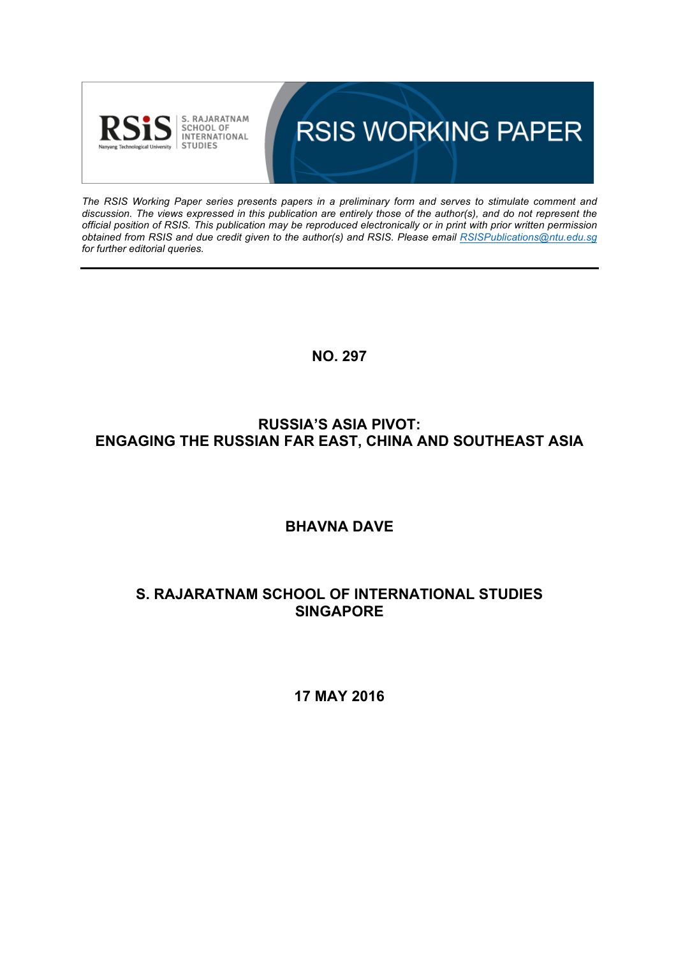

# **RSIS WORKING PAPER**

*The RSIS Working Paper series presents papers in a preliminary form and serves to stimulate comment and discussion. The views expressed in this publication are entirely those of the author(s), and do not represent the official position of RSIS. This publication may be reproduced electronically or in print with prior written permission obtained from RSIS and due credit given to the author(s) and RSIS. Please email RSISPublications@ntu.edu.sg for further editorial queries.*

# **NO. 297**

# **RUSSIA'S ASIA PIVOT: ENGAGING THE RUSSIAN FAR EAST, CHINA AND SOUTHEAST ASIA**

# **BHAVNA DAVE**

# **S. RAJARATNAM SCHOOL OF INTERNATIONAL STUDIES SINGAPORE**

# **17 MAY 2016**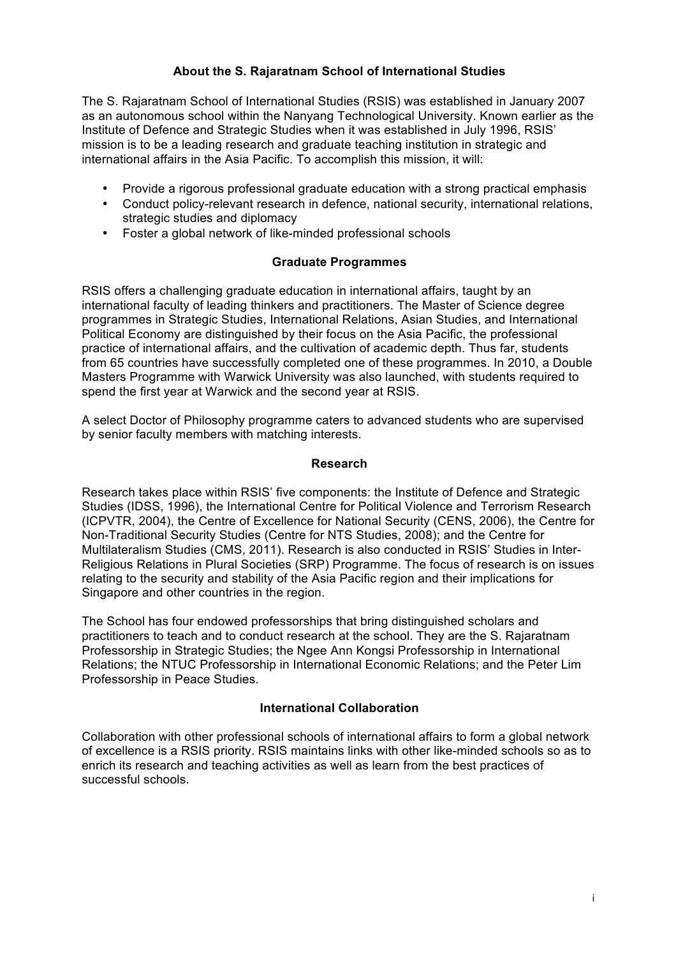## **About the S. Rajaratnam School of International Studies**

The S. Rajaratnam School of International Studies (RSIS) was established in January 2007 as an autonomous school within the Nanyang Technological University. Known earlier as the Institute of Defence and Strategic Studies when it was established in July 1996, RSIS' mission is to be a leading research and graduate teaching institution in strategic and international affairs in the Asia Pacific. To accomplish this mission, it will:

- Provide a rigorous professional graduate education with a strong practical emphasis
- Conduct policy-relevant research in defence, national security, international relations, strategic studies and diplomacy
- Foster a global network of like-minded professional schools

## **Graduate Programmes**

RSIS offers a challenging graduate education in international affairs, taught by an international faculty of leading thinkers and practitioners. The Master of Science degree programmes in Strategic Studies, International Relations, Asian Studies, and International Political Economy are distinguished by their focus on the Asia Pacific, the professional practice of international affairs, and the cultivation of academic depth. Thus far, students from 65 countries have successfully completed one of these programmes. In 2010, a Double Masters Programme with Warwick University was also launched, with students required to spend the first year at Warwick and the second year at RSIS.

A select Doctor of Philosophy programme caters to advanced students who are supervised by senior faculty members with matching interests.

## **Research**

Research takes place within RSIS' five components: the Institute of Defence and Strategic Studies (IDSS, 1996), the International Centre for Political Violence and Terrorism Research (ICPVTR, 2004), the Centre of Excellence for National Security (CENS, 2006), the Centre for Non-Traditional Security Studies (Centre for NTS Studies, 2008); and the Centre for Multilateralism Studies (CMS, 2011). Research is also conducted in RSIS' Studies in Inter-Religious Relations in Plural Societies (SRP) Programme. The focus of research is on issues relating to the security and stability of the Asia Pacific region and their implications for Singapore and other countries in the region.

The School has four endowed professorships that bring distinguished scholars and practitioners to teach and to conduct research at the school. They are the S. Rajaratnam Professorship in Strategic Studies; the Ngee Ann Kongsi Professorship in International Relations; the NTUC Professorship in International Economic Relations; and the Peter Lim Professorship in Peace Studies.

## **International Collaboration**

Collaboration with other professional schools of international affairs to form a global network of excellence is a RSIS priority. RSIS maintains links with other like-minded schools so as to enrich its research and teaching activities as well as learn from the best practices of successful schools.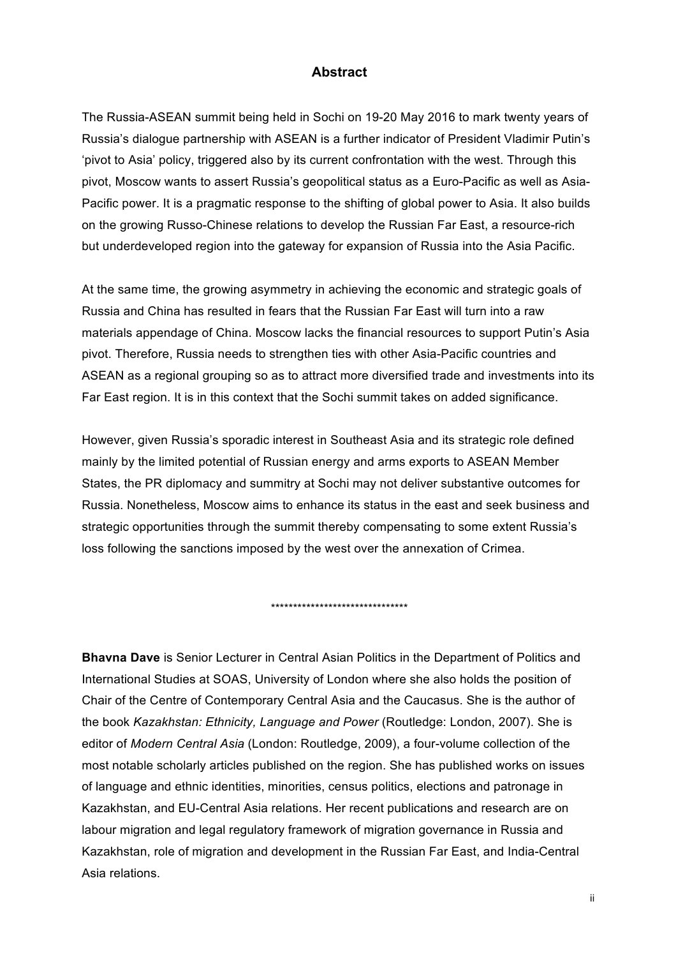## **Abstract**

The Russia-ASEAN summit being held in Sochi on 19-20 May 2016 to mark twenty years of Russia's dialogue partnership with ASEAN is a further indicator of President Vladimir Putin's 'pivot to Asia' policy, triggered also by its current confrontation with the west. Through this pivot, Moscow wants to assert Russia's geopolitical status as a Euro-Pacific as well as Asia-Pacific power. It is a pragmatic response to the shifting of global power to Asia. It also builds on the growing Russo-Chinese relations to develop the Russian Far East, a resource-rich but underdeveloped region into the gateway for expansion of Russia into the Asia Pacific.

At the same time, the growing asymmetry in achieving the economic and strategic goals of Russia and China has resulted in fears that the Russian Far East will turn into a raw materials appendage of China. Moscow lacks the financial resources to support Putin's Asia pivot. Therefore, Russia needs to strengthen ties with other Asia-Pacific countries and ASEAN as a regional grouping so as to attract more diversified trade and investments into its Far East region. It is in this context that the Sochi summit takes on added significance.

However, given Russia's sporadic interest in Southeast Asia and its strategic role defined mainly by the limited potential of Russian energy and arms exports to ASEAN Member States, the PR diplomacy and summitry at Sochi may not deliver substantive outcomes for Russia. Nonetheless, Moscow aims to enhance its status in the east and seek business and strategic opportunities through the summit thereby compensating to some extent Russia's loss following the sanctions imposed by the west over the annexation of Crimea.

\*\*\*\*\*\*\*\*\*\*\*\*\*\*\*\*\*\*\*\*\*\*\*\*\*\*\*\*\*\*\*

**Bhavna Dave** is Senior Lecturer in Central Asian Politics in the Department of Politics and International Studies at SOAS, University of London where she also holds the position of Chair of the Centre of Contemporary Central Asia and the Caucasus. She is the author of the book *Kazakhstan: Ethnicity, Language and Power* (Routledge: London, 2007). She is editor of *Modern Central Asia* (London: Routledge, 2009), a four-volume collection of the most notable scholarly articles published on the region. She has published works on issues of language and ethnic identities, minorities, census politics, elections and patronage in Kazakhstan, and EU-Central Asia relations. Her recent publications and research are on labour migration and legal regulatory framework of migration governance in Russia and Kazakhstan, role of migration and development in the Russian Far East, and India-Central Asia relations.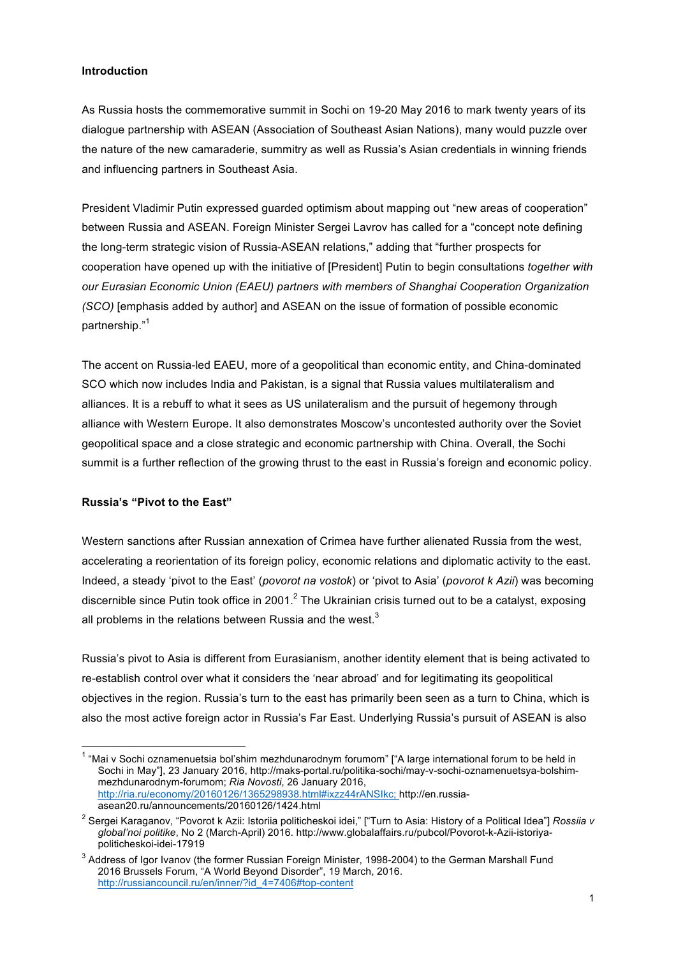#### **Introduction**

As Russia hosts the commemorative summit in Sochi on 19-20 May 2016 to mark twenty years of its dialogue partnership with ASEAN (Association of Southeast Asian Nations), many would puzzle over the nature of the new camaraderie, summitry as well as Russia's Asian credentials in winning friends and influencing partners in Southeast Asia.

President Vladimir Putin expressed guarded optimism about mapping out "new areas of cooperation" between Russia and ASEAN. Foreign Minister Sergei Lavrov has called for a "concept note defining the long-term strategic vision of Russia-ASEAN relations," adding that "further prospects for cooperation have opened up with the initiative of [President] Putin to begin consultations *together with our Eurasian Economic Union (EAEU) partners with members of Shanghai Cooperation Organization (SCO)* [emphasis added by author] and ASEAN on the issue of formation of possible economic partnership."<sup>1</sup>

The accent on Russia-led EAEU, more of a geopolitical than economic entity, and China-dominated SCO which now includes India and Pakistan, is a signal that Russia values multilateralism and alliances. It is a rebuff to what it sees as US unilateralism and the pursuit of hegemony through alliance with Western Europe. It also demonstrates Moscow's uncontested authority over the Soviet geopolitical space and a close strategic and economic partnership with China. Overall, the Sochi summit is a further reflection of the growing thrust to the east in Russia's foreign and economic policy.

#### **Russia's "Pivot to the East"**

Western sanctions after Russian annexation of Crimea have further alienated Russia from the west, accelerating a reorientation of its foreign policy, economic relations and diplomatic activity to the east. Indeed, a steady 'pivot to the East' (*povorot na vostok*) or 'pivot to Asia' (*povorot k Azii*) was becoming discernible since Putin took office in 2001.<sup>2</sup> The Ukrainian crisis turned out to be a catalyst, exposing all problems in the relations between Russia and the west. $3$ 

Russia's pivot to Asia is different from Eurasianism, another identity element that is being activated to re-establish control over what it considers the 'near abroad' and for legitimating its geopolitical objectives in the region. Russia's turn to the east has primarily been seen as a turn to China, which is also the most active foreign actor in Russia's Far East. Underlying Russia's pursuit of ASEAN is also

<sup>&</sup>lt;sup>1</sup> "Mai v Sochi oznamenuetsia bol'shim mezhdunarodnym forumom" ["A large international forum to be held in Sochi in May"], 23 January 2016, http://maks-portal.ru/politika-sochi/may-v-sochi-oznamenuetsya-bolshimmezhdunarodnym-forumom; *Ria Novosti*, 26 January 2016, http://ria.ru/economy/20160126/1365298938.html#ixzz44rANSIkc; http://en.russiaasean20.ru/announcements/20160126/1424.html

<sup>2</sup> Sergei Karaganov, "Povorot k Azii: Istoriia politicheskoi idei," ["Turn to Asia: History of a Political Idea"] *Rossiia v global'noi politike*, No 2 (March-April) 2016. http://www.globalaffairs.ru/pubcol/Povorot-k-Azii-istoriyapoliticheskoi-idei-17919

 $3$  Address of Igor Ivanov (the former Russian Foreign Minister, 1998-2004) to the German Marshall Fund 2016 Brussels Forum, "A World Beyond Disorder", 19 March, 2016. http://russiancouncil.ru/en/inner/?id\_4=7406#top-content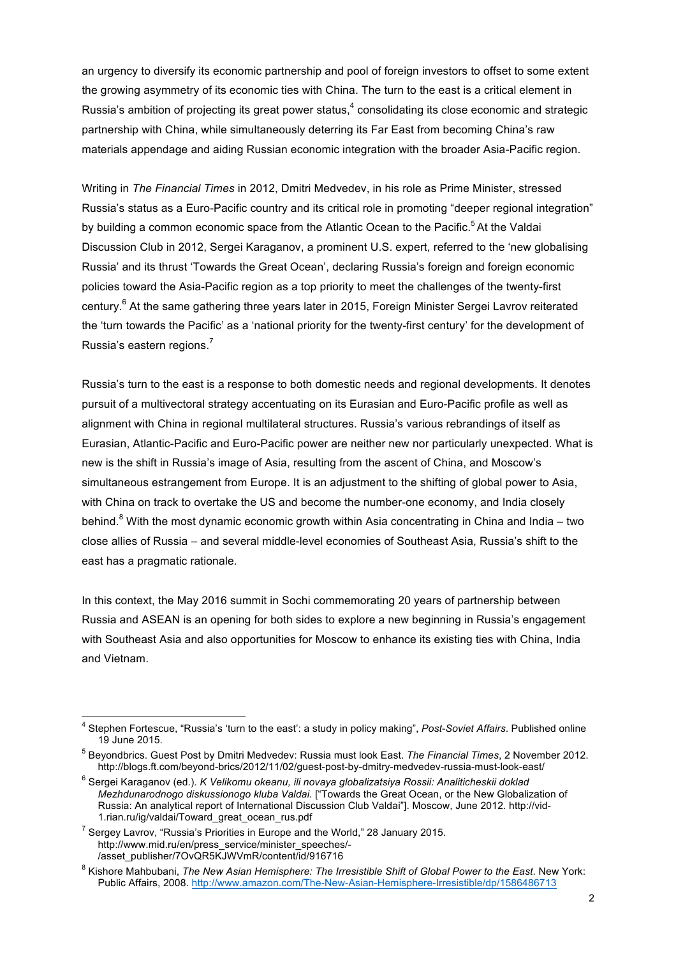an urgency to diversify its economic partnership and pool of foreign investors to offset to some extent the growing asymmetry of its economic ties with China. The turn to the east is a critical element in Russia's ambition of projecting its great power status,<sup>4</sup> consolidating its close economic and strategic partnership with China, while simultaneously deterring its Far East from becoming China's raw materials appendage and aiding Russian economic integration with the broader Asia-Pacific region.

Writing in *The Financial Times* in 2012, Dmitri Medvedev, in his role as Prime Minister, stressed Russia's status as a Euro-Pacific country and its critical role in promoting "deeper regional integration" by building a common economic space from the Atlantic Ocean to the Pacific.<sup>5</sup> At the Valdai Discussion Club in 2012, Sergei Karaganov, a prominent U.S. expert, referred to the 'new globalising Russia' and its thrust 'Towards the Great Ocean', declaring Russia's foreign and foreign economic policies toward the Asia-Pacific region as a top priority to meet the challenges of the twenty-first century.<sup>6</sup> At the same gathering three years later in 2015, Foreign Minister Sergei Lavrov reiterated the 'turn towards the Pacific' as a 'national priority for the twenty-first century' for the development of Russia's eastern regions.<sup>7</sup>

Russia's turn to the east is a response to both domestic needs and regional developments. It denotes pursuit of a multivectoral strategy accentuating on its Eurasian and Euro-Pacific profile as well as alignment with China in regional multilateral structures. Russia's various rebrandings of itself as Eurasian, Atlantic-Pacific and Euro-Pacific power are neither new nor particularly unexpected. What is new is the shift in Russia's image of Asia, resulting from the ascent of China, and Moscow's simultaneous estrangement from Europe. It is an adjustment to the shifting of global power to Asia, with China on track to overtake the US and become the number-one economy, and India closely behind.<sup>8</sup> With the most dynamic economic growth within Asia concentrating in China and India – two close allies of Russia – and several middle-level economies of Southeast Asia, Russia's shift to the east has a pragmatic rationale.

In this context, the May 2016 summit in Sochi commemorating 20 years of partnership between Russia and ASEAN is an opening for both sides to explore a new beginning in Russia's engagement with Southeast Asia and also opportunities for Moscow to enhance its existing ties with China, India and Vietnam.

<sup>4</sup> Stephen Fortescue, "Russia's 'turn to the east': a study in policy making", *Post-Soviet Affairs*. Published online 19 June 2015.

<sup>5</sup> Beyondbrics. Guest Post by Dmitri Medvedev: Russia must look East. *The Financial Times*, 2 November 2012. http://blogs.ft.com/beyond-brics/2012/11/02/guest-post-by-dmitry-medvedev-russia-must-look-east/

<sup>6</sup> Sergei Karaganov (ed.). *K Velikomu okeanu, ili novaya globalizatsiya Rossii: Analiticheskii doklad Mezhdunarodnogo diskussionogo kluba Valdai*. ["Towards the Great Ocean, or the New Globalization of Russia: An analytical report of International Discussion Club Valdai"]. Moscow, June 2012. http://vid-1.rian.ru/ig/valdai/Toward\_great\_ocean\_rus.pdf

 $7$  Sergey Lavrov, "Russia's Priorities in Europe and the World," 28 January 2015. http://www.mid.ru/en/press\_service/minister\_speeches/- /asset\_publisher/7OvQR5KJWVmR/content/id/916716

<sup>8</sup> Kishore Mahbubani, *The New Asian Hemisphere: The Irresistible Shift of Global Power to the East*. New York: Public Affairs, 2008. http://www.amazon.com/The-New-Asian-Hemisphere-Irresistible/dp/1586486713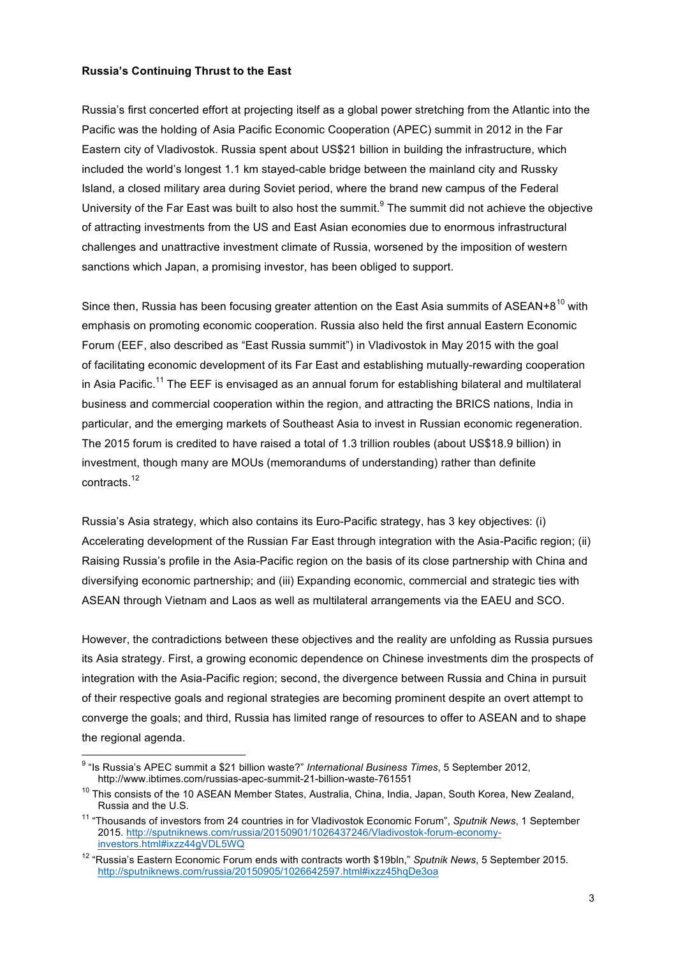#### **Russia's Continuing Thrust to the East**

Russia's first concerted effort at projecting itself as a global power stretching from the Atlantic into the Pacific was the holding of Asia Pacific Economic Cooperation (APEC) summit in 2012 in the Far Eastern city of Vladivostok. Russia spent about US\$21 billion in building the infrastructure, which included the world's longest 1.1 km stayed-cable bridge between the mainland city and Russky Island, a closed military area during Soviet period, where the brand new campus of the Federal University of the Far East was built to also host the summit.<sup>9</sup> The summit did not achieve the objective of attracting investments from the US and East Asian economies due to enormous infrastructural challenges and unattractive investment climate of Russia, worsened by the imposition of western sanctions which Japan, a promising investor, has been obliged to support.

Since then, Russia has been focusing greater attention on the East Asia summits of ASEAN+8<sup>10</sup> with emphasis on promoting economic cooperation. Russia also held the first annual Eastern Economic Forum (EEF, also described as "East Russia summit") in Vladivostok in May 2015 with the goal of facilitating economic development of its Far East and establishing mutually-rewarding cooperation in Asia Pacific.<sup>11</sup> The EEF is envisaged as an annual forum for establishing bilateral and multilateral business and commercial cooperation within the region, and attracting the BRICS nations, India in particular, and the emerging markets of Southeast Asia to invest in Russian economic regeneration. The 2015 forum is credited to have raised a total of 1.3 trillion roubles (about US\$18.9 billion) in investment, though many are MOUs (memorandums of understanding) rather than definite contracts.<sup>12</sup>

Russia's Asia strategy, which also contains its Euro-Pacific strategy, has 3 key objectives: (i) Accelerating development of the Russian Far East through integration with the Asia-Pacific region; (ii) Raising Russia's profile in the Asia-Pacific region on the basis of its close partnership with China and diversifying economic partnership; and (iii) Expanding economic, commercial and strategic ties with ASEAN through Vietnam and Laos as well as multilateral arrangements via the EAEU and SCO.

However, the contradictions between these objectives and the reality are unfolding as Russia pursues its Asia strategy. First, a growing economic dependence on Chinese investments dim the prospects of integration with the Asia-Pacific region; second, the divergence between Russia and China in pursuit of their respective goals and regional strategies are becoming prominent despite an overt attempt to converge the goals; and third, Russia has limited range of resources to offer to ASEAN and to shape the regional agenda.

<sup>9</sup> "Is Russia's APEC summit a \$21 billion waste?" *International Business Times*, 5 September 2012, http://www.ibtimes.com/russias-apec-summit-21-billion-waste-761551

<sup>&</sup>lt;sup>10</sup> This consists of the 10 ASEAN Member States, Australia, China, India, Japan, South Korea, New Zealand, Russia and the U.S.

<sup>11</sup> "Thousands of investors from 24 countries in for Vladivostok Economic Forum", *Sputnik News*, 1 September 2015. http://sputniknews.com/russia/20150901/1026437246/Vladivostok-forum-economyinvestors.html#ixzz44gVDL5WQ

<sup>12</sup> "Russia's Eastern Economic Forum ends with contracts worth \$19bln," *Sputnik News*, 5 September 2015. http://sputniknews.com/russia/20150905/1026642597.html#ixzz45hqDe3oa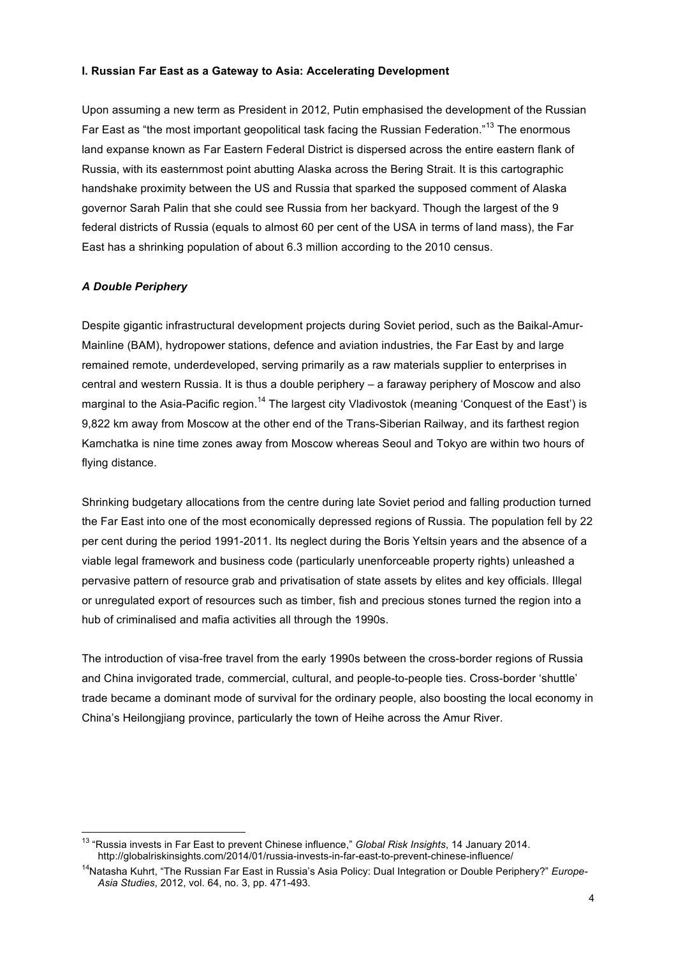#### **I. Russian Far East as a Gateway to Asia: Accelerating Development**

Upon assuming a new term as President in 2012, Putin emphasised the development of the Russian Far East as "the most important geopolitical task facing the Russian Federation."<sup>13</sup> The enormous land expanse known as Far Eastern Federal District is dispersed across the entire eastern flank of Russia, with its easternmost point abutting Alaska across the Bering Strait. It is this cartographic handshake proximity between the US and Russia that sparked the supposed comment of Alaska governor Sarah Palin that she could see Russia from her backyard. Though the largest of the 9 federal districts of Russia (equals to almost 60 per cent of the USA in terms of land mass), the Far East has a shrinking population of about 6.3 million according to the 2010 census.

#### *A Double Periphery*

Despite gigantic infrastructural development projects during Soviet period, such as the Baikal-Amur-Mainline (BAM), hydropower stations, defence and aviation industries, the Far East by and large remained remote, underdeveloped, serving primarily as a raw materials supplier to enterprises in central and western Russia. It is thus a double periphery – a faraway periphery of Moscow and also marginal to the Asia-Pacific region.<sup>14</sup> The largest city Vladivostok (meaning 'Conquest of the East') is 9,822 km away from Moscow at the other end of the Trans-Siberian Railway, and its farthest region Kamchatka is nine time zones away from Moscow whereas Seoul and Tokyo are within two hours of flying distance.

Shrinking budgetary allocations from the centre during late Soviet period and falling production turned the Far East into one of the most economically depressed regions of Russia. The population fell by 22 per cent during the period 1991-2011. Its neglect during the Boris Yeltsin years and the absence of a viable legal framework and business code (particularly unenforceable property rights) unleashed a pervasive pattern of resource grab and privatisation of state assets by elites and key officials. Illegal or unregulated export of resources such as timber, fish and precious stones turned the region into a hub of criminalised and mafia activities all through the 1990s.

The introduction of visa-free travel from the early 1990s between the cross-border regions of Russia and China invigorated trade, commercial, cultural, and people-to-people ties. Cross-border 'shuttle' trade became a dominant mode of survival for the ordinary people, also boosting the local economy in China's Heilongjiang province, particularly the town of Heihe across the Amur River.

<sup>13</sup> "Russia invests in Far East to prevent Chinese influence," *Global Risk Insights*, 14 January 2014. http://globalriskinsights.com/2014/01/russia-invests-in-far-east-to-prevent-chinese-influence/

<sup>14</sup>Natasha Kuhrt, "The Russian Far East in Russia's Asia Policy: Dual Integration or Double Periphery?" *Europe-Asia Studies*, 2012, vol. 64, no. 3, pp. 471-493.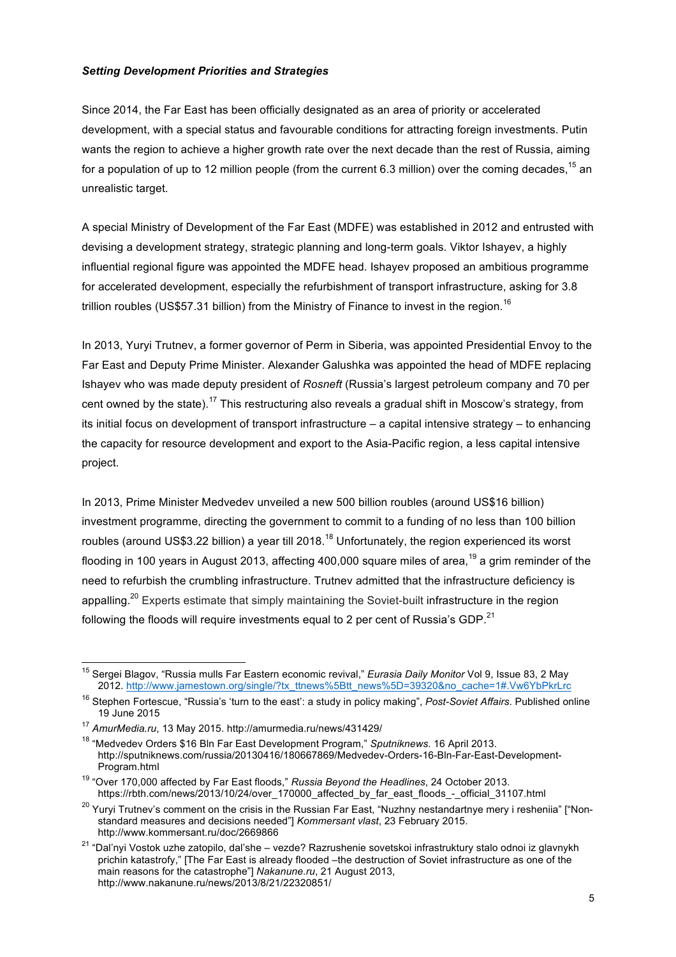#### *Setting Development Priorities and Strategies*

Since 2014, the Far East has been officially designated as an area of priority or accelerated development, with a special status and favourable conditions for attracting foreign investments. Putin wants the region to achieve a higher growth rate over the next decade than the rest of Russia, aiming for a population of up to 12 million people (from the current 6.3 million) over the coming decades,  $15$  an unrealistic target.

A special Ministry of Development of the Far East (MDFE) was established in 2012 and entrusted with devising a development strategy, strategic planning and long-term goals. Viktor Ishayev, a highly influential regional figure was appointed the MDFE head. Ishayev proposed an ambitious programme for accelerated development, especially the refurbishment of transport infrastructure, asking for 3.8 trillion roubles (US\$57.31 billion) from the Ministry of Finance to invest in the region.<sup>16</sup>

In 2013, Yuryi Trutnev, a former governor of Perm in Siberia, was appointed Presidential Envoy to the Far East and Deputy Prime Minister. Alexander Galushka was appointed the head of MDFE replacing Ishayev who was made deputy president of *Rosneft* (Russia's largest petroleum company and 70 per cent owned by the state).<sup>17</sup> This restructuring also reveals a gradual shift in Moscow's strategy, from its initial focus on development of transport infrastructure – a capital intensive strategy – to enhancing the capacity for resource development and export to the Asia-Pacific region, a less capital intensive project.

In 2013, Prime Minister Medvedev unveiled a new 500 billion roubles (around US\$16 billion) investment programme, directing the government to commit to a funding of no less than 100 billion roubles (around US\$3.22 billion) a year till 2018.<sup>18</sup> Unfortunately, the region experienced its worst flooding in 100 years in August 2013, affecting 400,000 square miles of area.<sup>19</sup> a grim reminder of the need to refurbish the crumbling infrastructure. Trutnev admitted that the infrastructure deficiency is appalling.<sup>20</sup> Experts estimate that simply maintaining the Soviet-built infrastructure in the region following the floods will require investments equal to 2 per cent of Russia's GDP.<sup>21</sup>

<sup>15</sup> Sergei Blagov, "Russia mulls Far Eastern economic revival," *Eurasia Daily Monitor* Vol 9, Issue 83, 2 May 2012. http://www.jamestown.org/single/?tx\_ttnews%5Btt\_news%5D=39320&no\_cache=1#.Vw6YbPkrLrc

<sup>16</sup> Stephen Fortescue, "Russia's 'turn to the east': a study in policy making", *Post-Soviet Affairs*. Published online 19 June 2015

<sup>17</sup> *AmurMedia.ru*, 13 May 2015. http://amurmedia.ru/news/431429/

<sup>18</sup> "Medvedev Orders \$16 Bln Far East Development Program," *Sputniknews*. 16 April 2013. http://sputniknews.com/russia/20130416/180667869/Medvedev-Orders-16-Bln-Far-East-Development-Program.html

<sup>19</sup> "Over 170,000 affected by Far East floods," *Russia Beyond the Headlines*, 24 October 2013. https://rbth.com/news/2013/10/24/over\_170000\_affected\_by\_far\_east\_floods\_-\_official\_31107.html

<sup>&</sup>lt;sup>20</sup> Yuryi Trutnev's comment on the crisis in the Russian Far East, "Nuzhny nestandartnye mery i resheniia" ["Nonstandard measures and decisions needed"] *Kommersant vlast*, 23 February 2015. http://www.kommersant.ru/doc/2669866

<sup>21</sup> "Dal'nyi Vostok uzhe zatopilo, dal'she – vezde? Razrushenie sovetskoi infrastruktury stalo odnoi iz glavnykh prichin katastrofy," [The Far East is already flooded –the destruction of Soviet infrastructure as one of the main reasons for the catastrophe"] *Nakanune.ru*, 21 August 2013, http://www.nakanune.ru/news/2013/8/21/22320851/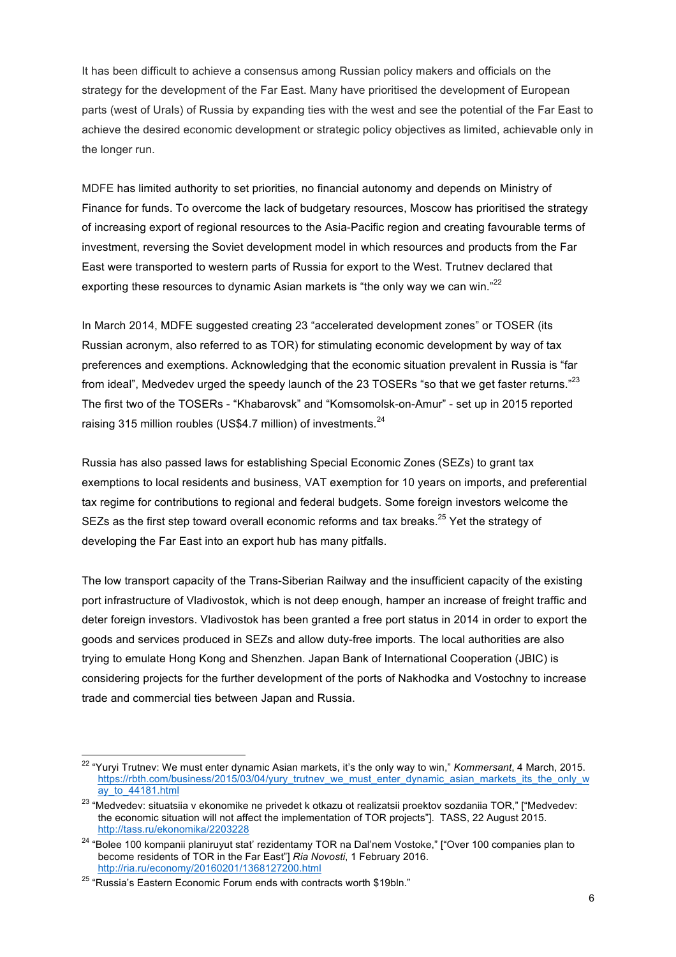It has been difficult to achieve a consensus among Russian policy makers and officials on the strategy for the development of the Far East. Many have prioritised the development of European parts (west of Urals) of Russia by expanding ties with the west and see the potential of the Far East to achieve the desired economic development or strategic policy objectives as limited, achievable only in the longer run.

MDFE has limited authority to set priorities, no financial autonomy and depends on Ministry of Finance for funds. To overcome the lack of budgetary resources, Moscow has prioritised the strategy of increasing export of regional resources to the Asia-Pacific region and creating favourable terms of investment, reversing the Soviet development model in which resources and products from the Far East were transported to western parts of Russia for export to the West. Trutnev declared that exporting these resources to dynamic Asian markets is "the only way we can win." $^{22}$ 

In March 2014, MDFE suggested creating 23 "accelerated development zones" or TOSER (its Russian acronym, also referred to as TOR) for stimulating economic development by way of tax preferences and exemptions. Acknowledging that the economic situation prevalent in Russia is "far from ideal", Medvedev urged the speedy launch of the 23 TOSERs "so that we get faster returns."<sup>23</sup> The first two of the TOSERs - "Khabarovsk" and "Komsomolsk-on-Amur" - set up in 2015 reported raising 315 million roubles (US\$4.7 million) of investments.<sup>24</sup>

Russia has also passed laws for establishing Special Economic Zones (SEZs) to grant tax exemptions to local residents and business, VAT exemption for 10 years on imports, and preferential tax regime for contributions to regional and federal budgets. Some foreign investors welcome the SEZs as the first step toward overall economic reforms and tax breaks.<sup>25</sup> Yet the strategy of developing the Far East into an export hub has many pitfalls.

The low transport capacity of the Trans-Siberian Railway and the insufficient capacity of the existing port infrastructure of Vladivostok, which is not deep enough, hamper an increase of freight traffic and deter foreign investors. Vladivostok has been granted a free port status in 2014 in order to export the goods and services produced in SEZs and allow duty-free imports. The local authorities are also trying to emulate Hong Kong and Shenzhen. Japan Bank of International Cooperation (JBIC) is considering projects for the further development of the ports of Nakhodka and Vostochny to increase trade and commercial ties between Japan and Russia.

<sup>22</sup> "Yuryi Trutnev: We must enter dynamic Asian markets, it's the only way to win," *Kommersant*, 4 March, 2015. https://rbth.com/business/2015/03/04/yury\_trutney\_we\_must\_enter\_dynamic\_asian\_markets\_its\_the\_only\_w ay to  $44181.html$ 

<sup>&</sup>lt;sup>23</sup> "Medvedev: situatsiia v ekonomike ne privedet k otkazu ot realizatsii proektov sozdaniia TOR," ["Medvedev: the economic situation will not affect the implementation of TOR projects"]. TASS, 22 August 2015. http://tass.ru/ekonomika/2203228

<sup>&</sup>lt;sup>24</sup> "Bolee 100 kompanii planiruyut stat' rezidentamy TOR na Dal'nem Vostoke," ["Over 100 companies plan to become residents of TOR in the Far East"] *Ria Novosti*, 1 February 2016. http://ria.ru/economy/20160201/1368127200.html

<sup>&</sup>lt;sup>25</sup> "Russia's Eastern Economic Forum ends with contracts worth \$19bln."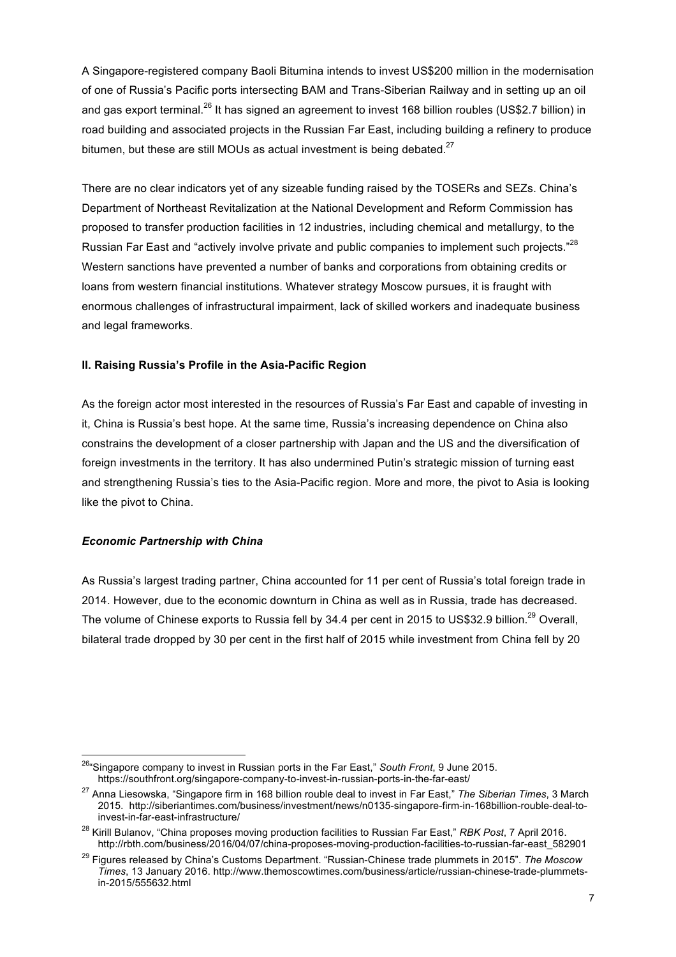A Singapore-registered company Baoli Bitumina intends to invest US\$200 million in the modernisation of one of Russia's Pacific ports intersecting BAM and Trans-Siberian Railway and in setting up an oil and gas export terminal.<sup>26</sup> It has signed an agreement to invest 168 billion roubles (US\$2.7 billion) in road building and associated projects in the Russian Far East, including building a refinery to produce bitumen, but these are still MOUs as actual investment is being debated.<sup>27</sup>

There are no clear indicators yet of any sizeable funding raised by the TOSERs and SEZs. China's Department of Northeast Revitalization at the National Development and Reform Commission has proposed to transfer production facilities in 12 industries, including chemical and metallurgy, to the Russian Far East and "actively involve private and public companies to implement such projects."<sup>28</sup> Western sanctions have prevented a number of banks and corporations from obtaining credits or loans from western financial institutions. Whatever strategy Moscow pursues, it is fraught with enormous challenges of infrastructural impairment, lack of skilled workers and inadequate business and legal frameworks.

## **II. Raising Russia's Profile in the Asia-Pacific Region**

As the foreign actor most interested in the resources of Russia's Far East and capable of investing in it, China is Russia's best hope. At the same time, Russia's increasing dependence on China also constrains the development of a closer partnership with Japan and the US and the diversification of foreign investments in the territory. It has also undermined Putin's strategic mission of turning east and strengthening Russia's ties to the Asia-Pacific region. More and more, the pivot to Asia is looking like the pivot to China.

#### *Economic Partnership with China*

As Russia's largest trading partner, China accounted for 11 per cent of Russia's total foreign trade in 2014. However, due to the economic downturn in China as well as in Russia, trade has decreased. The volume of Chinese exports to Russia fell by 34.4 per cent in 2015 to US\$32.9 billion.<sup>29</sup> Overall. bilateral trade dropped by 30 per cent in the first half of 2015 while investment from China fell by 20

26"Singapore company to invest in Russian ports in the Far East," *South Front*, 9 June 2015. https://southfront.org/singapore-company-to-invest-in-russian-ports-in-the-far-east/

<sup>27</sup> Anna Liesowska, "Singapore firm in 168 billion rouble deal to invest in Far East," *The Siberian Times*, 3 March 2015. http://siberiantimes.com/business/investment/news/n0135-singapore-firm-in-168billion-rouble-deal-toinvest-in-far-east-infrastructure/

<sup>28</sup> Kirill Bulanov, "China proposes moving production facilities to Russian Far East," *RBK Post*, 7 April 2016. http://rbth.com/business/2016/04/07/china-proposes-moving-production-facilities-to-russian-far-east\_582901

<sup>29</sup> Figures released by China's Customs Department. "Russian-Chinese trade plummets in 2015". *The Moscow Times*, 13 January 2016. http://www.themoscowtimes.com/business/article/russian-chinese-trade-plummetsin-2015/555632.html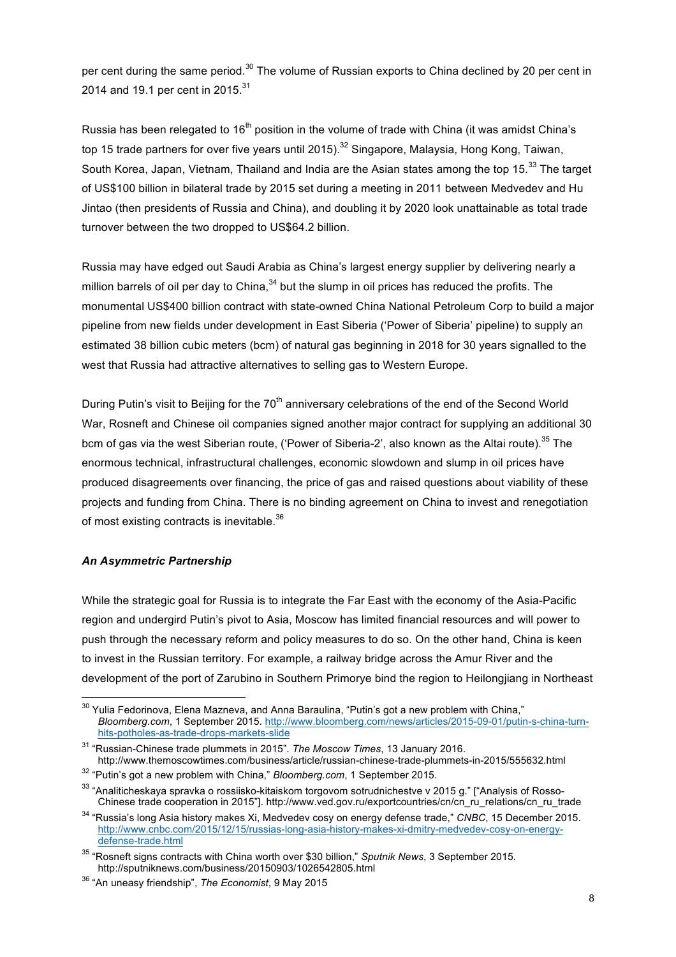per cent during the same period.<sup>30</sup> The volume of Russian exports to China declined by 20 per cent in 2014 and 19.1 per cent in 2015.<sup>31</sup>

Russia has been relegated to 16<sup>th</sup> position in the volume of trade with China (it was amidst China's top 15 trade partners for over five years until 2015).<sup>32</sup> Singapore, Malaysia, Hong Kong, Taiwan, South Korea, Japan, Vietnam, Thailand and India are the Asian states among the top 15.<sup>33</sup> The target of US\$100 billion in bilateral trade by 2015 set during a meeting in 2011 between Medvedev and Hu Jintao (then presidents of Russia and China), and doubling it by 2020 look unattainable as total trade turnover between the two dropped to US\$64.2 billion.

Russia may have edged out Saudi Arabia as China's largest energy supplier by delivering nearly a million barrels of oil per day to China,  $34$  but the slump in oil prices has reduced the profits. The monumental US\$400 billion contract with state-owned China National Petroleum Corp to build a major pipeline from new fields under development in East Siberia ('Power of Siberia' pipeline) to supply an estimated 38 billion cubic meters (bcm) of natural gas beginning in 2018 for 30 years signalled to the west that Russia had attractive alternatives to selling gas to Western Europe.

During Putin's visit to Beijing for the  $70<sup>th</sup>$  anniversary celebrations of the end of the Second World War, Rosneft and Chinese oil companies signed another major contract for supplying an additional 30 bcm of gas via the west Siberian route, ('Power of Siberia-2', also known as the Altai route).<sup>35</sup> The enormous technical, infrastructural challenges, economic slowdown and slump in oil prices have produced disagreements over financing, the price of gas and raised questions about viability of these projects and funding from China. There is no binding agreement on China to invest and renegotiation of most existing contracts is inevitable.<sup>36</sup>

#### *An Asymmetric Partnership*

While the strategic goal for Russia is to integrate the Far East with the economy of the Asia-Pacific region and undergird Putin's pivot to Asia, Moscow has limited financial resources and will power to push through the necessary reform and policy measures to do so. On the other hand, China is keen to invest in the Russian territory. For example, a railway bridge across the Amur River and the development of the port of Zarubino in Southern Primorye bind the region to Heilongjiang in Northeast

<sup>&</sup>lt;sup>30</sup> Yulia Fedorinova, Elena Mazneva, and Anna Baraulina, "Putin's got a new problem with China," *Bloomberg.com*, 1 September 2015. http://www.bloomberg.com/news/articles/2015-09-01/putin-s-china-turnhits-potholes-as-trade-drops-markets-slide

<sup>31</sup> "Russian-Chinese trade plummets in 2015". *The Moscow Times*, 13 January 2016. http://www.themoscowtimes.com/business/article/russian-chinese-trade-plummets-in-2015/555632.html <sup>32</sup> "Putin's got a new problem with China," *Bloomberg.com*, 1 September 2015.

<sup>33 &</sup>quot;Analiticheskaya spravka o rossiisko-kitaiskom torgovom sotrudnichestve v 2015 g." ["Analysis of Rosso-Chinese trade cooperation in 2015"]. http://www.ved.gov.ru/exportcountries/cn/cn\_ru\_relations/cn\_ru\_trade

<sup>34</sup> "Russia's long Asia history makes Xi, Medvedev cosy on energy defense trade," *CNBC*, 15 December 2015. http://www.cnbc.com/2015/12/15/russias-long-asia-history-makes-xi-dmitry-medvedev-cosy-on-energydefense-trade.html

<sup>35</sup> "Rosneft signs contracts with China worth over \$30 billion," *Sputnik News*, 3 September 2015. http://sputniknews.com/business/20150903/1026542805.html

<sup>36</sup> "An uneasy friendship", *The Economist*, 9 May 2015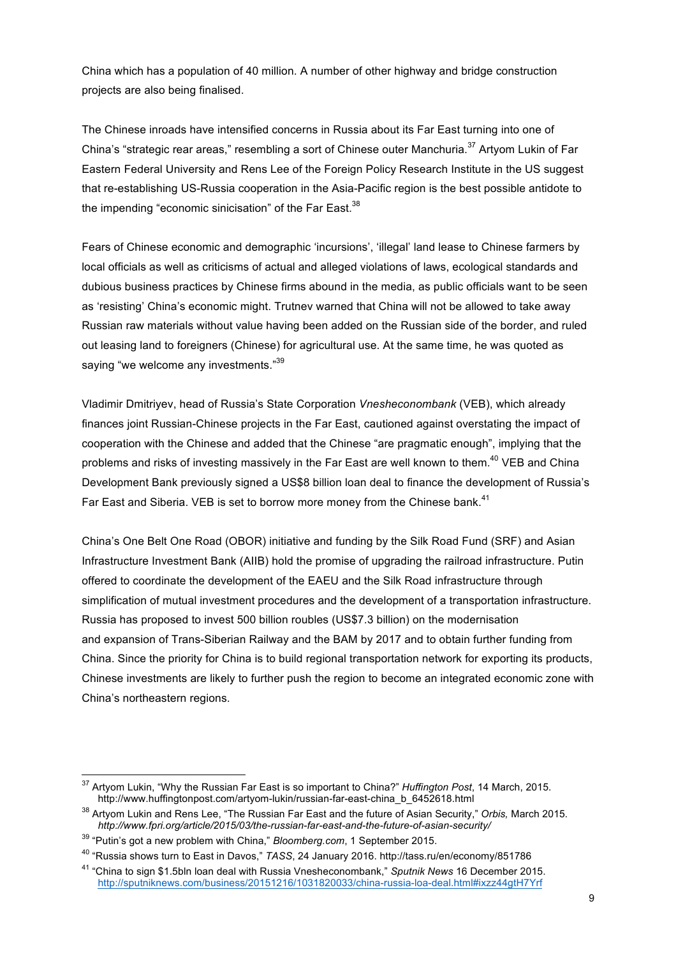China which has a population of 40 million. A number of other highway and bridge construction projects are also being finalised.

The Chinese inroads have intensified concerns in Russia about its Far East turning into one of China's "strategic rear areas," resembling a sort of Chinese outer Manchuria.<sup>37</sup> Artyom Lukin of Far Eastern Federal University and Rens Lee of the Foreign Policy Research Institute in the US suggest that re-establishing US-Russia cooperation in the Asia-Pacific region is the best possible antidote to the impending "economic sinicisation" of the Far East.<sup>38</sup>

Fears of Chinese economic and demographic 'incursions', 'illegal' land lease to Chinese farmers by local officials as well as criticisms of actual and alleged violations of laws, ecological standards and dubious business practices by Chinese firms abound in the media, as public officials want to be seen as 'resisting' China's economic might. Trutnev warned that China will not be allowed to take away Russian raw materials without value having been added on the Russian side of the border, and ruled out leasing land to foreigners (Chinese) for agricultural use. At the same time, he was quoted as saying "we welcome any investments."<sup>39</sup>

Vladimir Dmitriyev, head of Russia's State Corporation *Vnesheconombank* (VEB), which already finances joint Russian-Chinese projects in the Far East, cautioned against overstating the impact of cooperation with the Chinese and added that the Chinese "are pragmatic enough", implying that the problems and risks of investing massively in the Far East are well known to them.<sup>40</sup> VEB and China Development Bank previously signed a US\$8 billion loan deal to finance the development of Russia's Far East and Siberia. VEB is set to borrow more money from the Chinese bank.<sup>41</sup>

China's One Belt One Road (OBOR) initiative and funding by the Silk Road Fund (SRF) and Asian Infrastructure Investment Bank (AIIB) hold the promise of upgrading the railroad infrastructure. Putin offered to coordinate the development of the EAEU and the Silk Road infrastructure through simplification of mutual investment procedures and the development of a transportation infrastructure. Russia has proposed to invest 500 billion roubles (US\$7.3 billion) on the modernisation and expansion of Trans-Siberian Railway and the BAM by 2017 and to obtain further funding from China. Since the priority for China is to build regional transportation network for exporting its products, Chinese investments are likely to further push the region to become an integrated economic zone with China's northeastern regions.

<sup>37</sup> Artyom Lukin, "Why the Russian Far East is so important to China?" *Huffington Post*, 14 March, 2015. http://www.huffingtonpost.com/artyom-lukin/russian-far-east-china\_b\_6452618.html

<sup>38</sup> Artyom Lukin and Rens Lee, "The Russian Far East and the future of Asian Security," *Orbis,* March 2015*. http://www.fpri.org/article/2015/03/the-russian-far-east-and-the-future-of-asian-security/*

<sup>39</sup> "Putin's got a new problem with China," *Bloomberg.com*, 1 September 2015.

<sup>40</sup> "Russia shows turn to East in Davos," *TASS*, 24 January 2016. http://tass.ru/en/economy/851786

<sup>41</sup> "China to sign \$1.5bln loan deal with Russia Vnesheconombank," *Sputnik News* 16 December 2015. http://sputniknews.com/business/20151216/1031820033/china-russia-loa-deal.html#ixzz44gtH7Yrf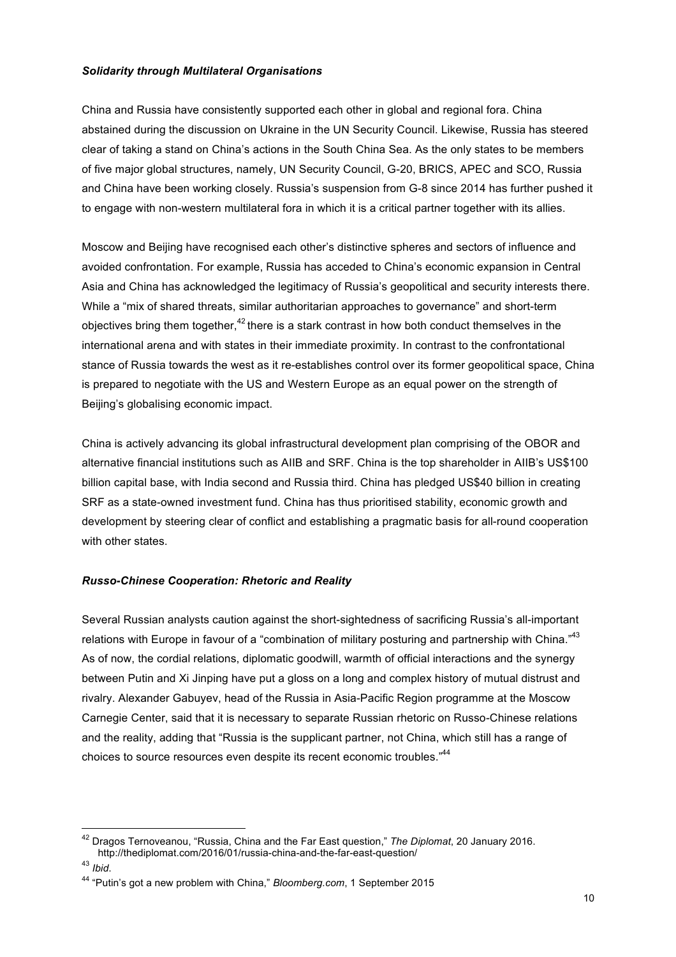#### *Solidarity through Multilateral Organisations*

China and Russia have consistently supported each other in global and regional fora. China abstained during the discussion on Ukraine in the UN Security Council. Likewise, Russia has steered clear of taking a stand on China's actions in the South China Sea. As the only states to be members of five major global structures, namely, UN Security Council, G-20, BRICS, APEC and SCO, Russia and China have been working closely. Russia's suspension from G-8 since 2014 has further pushed it to engage with non-western multilateral fora in which it is a critical partner together with its allies.

Moscow and Beijing have recognised each other's distinctive spheres and sectors of influence and avoided confrontation. For example, Russia has acceded to China's economic expansion in Central Asia and China has acknowledged the legitimacy of Russia's geopolitical and security interests there. While a "mix of shared threats, similar authoritarian approaches to governance" and short-term objectives bring them together, $42$  there is a stark contrast in how both conduct themselves in the international arena and with states in their immediate proximity. In contrast to the confrontational stance of Russia towards the west as it re-establishes control over its former geopolitical space, China is prepared to negotiate with the US and Western Europe as an equal power on the strength of Beijing's globalising economic impact.

China is actively advancing its global infrastructural development plan comprising of the OBOR and alternative financial institutions such as AIIB and SRF. China is the top shareholder in AIIB's US\$100 billion capital base, with India second and Russia third. China has pledged US\$40 billion in creating SRF as a state-owned investment fund. China has thus prioritised stability, economic growth and development by steering clear of conflict and establishing a pragmatic basis for all-round cooperation with other states.

#### *Russo-Chinese Cooperation: Rhetoric and Reality*

Several Russian analysts caution against the short-sightedness of sacrificing Russia's all-important relations with Europe in favour of a "combination of military posturing and partnership with China."<sup>43</sup> As of now, the cordial relations, diplomatic goodwill, warmth of official interactions and the synergy between Putin and Xi Jinping have put a gloss on a long and complex history of mutual distrust and rivalry. Alexander Gabuyev, head of the Russia in Asia-Pacific Region programme at the Moscow Carnegie Center, said that it is necessary to separate Russian rhetoric on Russo-Chinese relations and the reality, adding that "Russia is the supplicant partner, not China, which still has a range of choices to source resources even despite its recent economic troubles."<sup>44</sup>

<sup>42</sup> Dragos Ternoveanou, "Russia, China and the Far East question," *The Diplomat*, 20 January 2016. http://thediplomat.com/2016/01/russia-china-and-the-far-east-question/

<sup>43</sup> *Ibid*.

<sup>44</sup> "Putin's got a new problem with China," *Bloomberg.com*, 1 September 2015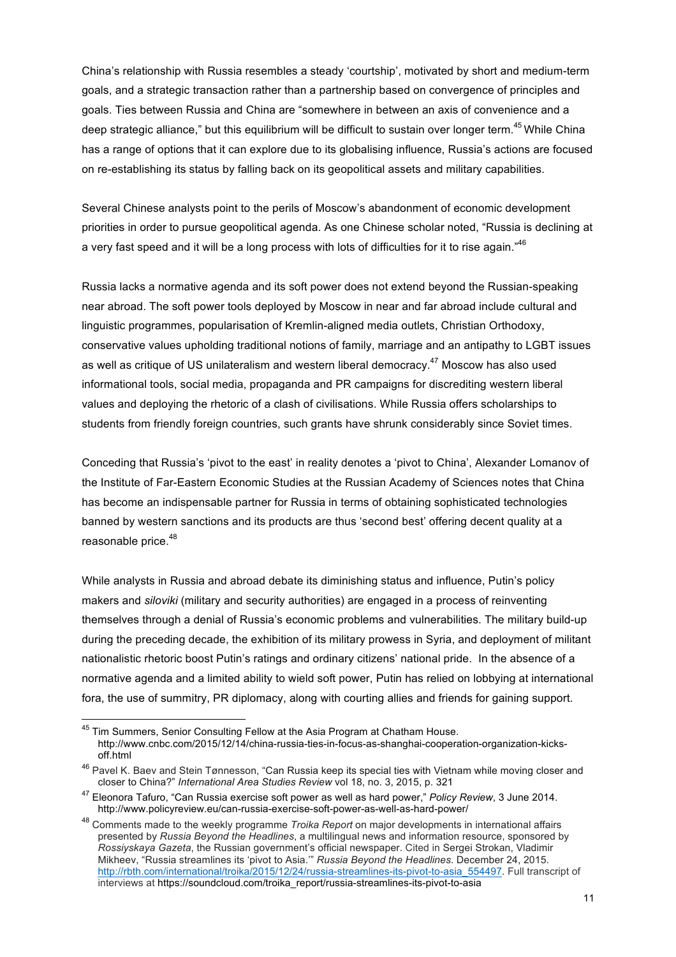China's relationship with Russia resembles a steady 'courtship', motivated by short and medium-term goals, and a strategic transaction rather than a partnership based on convergence of principles and goals. Ties between Russia and China are "somewhere in between an axis of convenience and a deep strategic alliance," but this equilibrium will be difficult to sustain over longer term.<sup>45</sup> While China has a range of options that it can explore due to its globalising influence, Russia's actions are focused on re-establishing its status by falling back on its geopolitical assets and military capabilities.

Several Chinese analysts point to the perils of Moscow's abandonment of economic development priorities in order to pursue geopolitical agenda. As one Chinese scholar noted, "Russia is declining at a very fast speed and it will be a long process with lots of difficulties for it to rise again."<sup>46</sup>

Russia lacks a normative agenda and its soft power does not extend beyond the Russian-speaking near abroad. The soft power tools deployed by Moscow in near and far abroad include cultural and linguistic programmes, popularisation of Kremlin-aligned media outlets, Christian Orthodoxy, conservative values upholding traditional notions of family, marriage and an antipathy to LGBT issues as well as critique of US unilateralism and western liberal democracy.<sup>47</sup> Moscow has also used informational tools, social media, propaganda and PR campaigns for discrediting western liberal values and deploying the rhetoric of a clash of civilisations. While Russia offers scholarships to students from friendly foreign countries, such grants have shrunk considerably since Soviet times.

Conceding that Russia's 'pivot to the east' in reality denotes a 'pivot to China', Alexander Lomanov of the Institute of Far-Eastern Economic Studies at the Russian Academy of Sciences notes that China has become an indispensable partner for Russia in terms of obtaining sophisticated technologies banned by western sanctions and its products are thus 'second best' offering decent quality at a reasonable price.<sup>48</sup>

While analysts in Russia and abroad debate its diminishing status and influence, Putin's policy makers and *siloviki* (military and security authorities) are engaged in a process of reinventing themselves through a denial of Russia's economic problems and vulnerabilities. The military build-up during the preceding decade, the exhibition of its military prowess in Syria, and deployment of militant nationalistic rhetoric boost Putin's ratings and ordinary citizens' national pride. In the absence of a normative agenda and a limited ability to wield soft power, Putin has relied on lobbying at international fora, the use of summitry, PR diplomacy, along with courting allies and friends for gaining support.

<sup>&</sup>lt;sup>45</sup> Tim Summers, Senior Consulting Fellow at the Asia Program at Chatham House. http://www.cnbc.com/2015/12/14/china-russia-ties-in-focus-as-shanghai-cooperation-organization-kicksoff.html

<sup>46</sup> Pavel K. Baev and Stein Tønnesson, "Can Russia keep its special ties with Vietnam while moving closer and closer to China?" *International Area Studies Review* vol 18, no. 3, 2015, p. 321

<sup>47</sup> Eleonora Tafuro, "Can Russia exercise soft power as well as hard power," *Policy Review*, 3 June 2014. http://www.policyreview.eu/can-russia-exercise-soft-power-as-well-as-hard-power/

<sup>48</sup> Comments made to the weekly programme *Troika Report* on major developments in international affairs presented by *Russia Beyond the Headlines*, a multilingual news and information resource, sponsored by *Rossiyskaya Gazeta*, the Russian government's official newspaper. Cited in Sergei Strokan, Vladimir Mikheev, "Russia streamlines its 'pivot to Asia.'" *Russia Beyond the Headlines*. December 24, 2015. http://rbth.com/international/troika/2015/12/24/russia-streamlines-its-pivot-to-asia\_554497. Full transcript of interviews at https://soundcloud.com/troika\_report/russia-streamlines-its-pivot-to-asia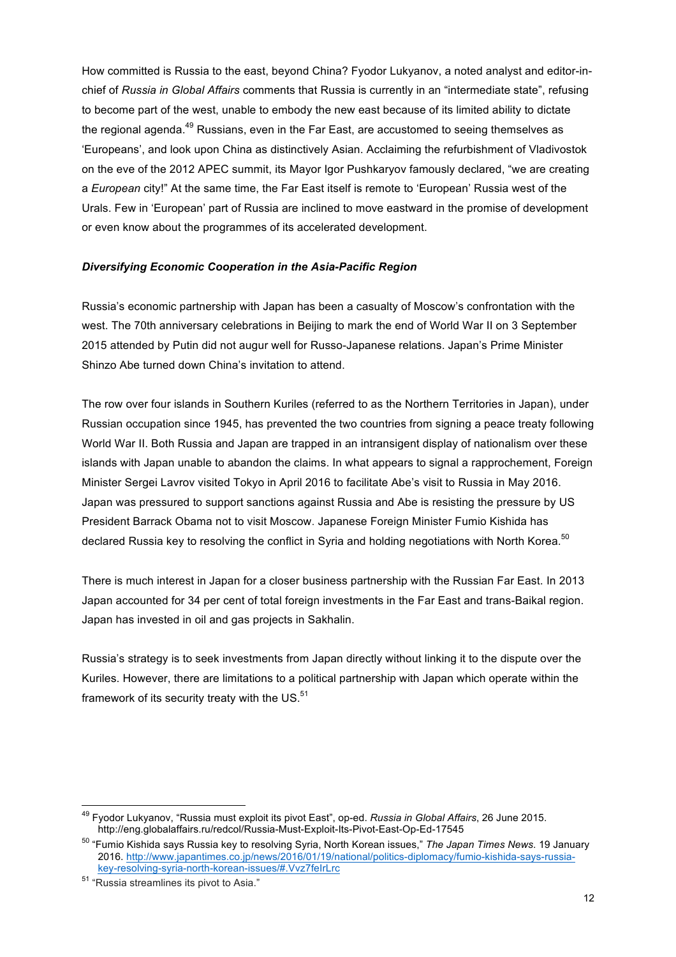How committed is Russia to the east, beyond China? Fyodor Lukyanov, a noted analyst and editor-inchief of *Russia in Global Affairs* comments that Russia is currently in an "intermediate state", refusing to become part of the west, unable to embody the new east because of its limited ability to dictate the regional agenda.<sup>49</sup> Russians, even in the Far East, are accustomed to seeing themselves as 'Europeans', and look upon China as distinctively Asian. Acclaiming the refurbishment of Vladivostok on the eve of the 2012 APEC summit, its Mayor Igor Pushkaryov famously declared, "we are creating a *European* city!" At the same time, the Far East itself is remote to 'European' Russia west of the Urals. Few in 'European' part of Russia are inclined to move eastward in the promise of development or even know about the programmes of its accelerated development.

#### *Diversifying Economic Cooperation in the Asia-Pacific Region*

Russia's economic partnership with Japan has been a casualty of Moscow's confrontation with the west. The 70th anniversary celebrations in Beijing to mark the end of World War II on 3 September 2015 attended by Putin did not augur well for Russo-Japanese relations. Japan's Prime Minister Shinzo Abe turned down China's invitation to attend.

The row over four islands in Southern Kuriles (referred to as the Northern Territories in Japan), under Russian occupation since 1945, has prevented the two countries from signing a peace treaty following World War II. Both Russia and Japan are trapped in an intransigent display of nationalism over these islands with Japan unable to abandon the claims. In what appears to signal a rapprochement, Foreign Minister Sergei Lavrov visited Tokyo in April 2016 to facilitate Abe's visit to Russia in May 2016. Japan was pressured to support sanctions against Russia and Abe is resisting the pressure by US President Barrack Obama not to visit Moscow. Japanese Foreign Minister Fumio Kishida has declared Russia key to resolving the conflict in Syria and holding negotiations with North Korea.<sup>50</sup>

There is much interest in Japan for a closer business partnership with the Russian Far East. In 2013 Japan accounted for 34 per cent of total foreign investments in the Far East and trans-Baikal region. Japan has invested in oil and gas projects in Sakhalin.

Russia's strategy is to seek investments from Japan directly without linking it to the dispute over the Kuriles. However, there are limitations to a political partnership with Japan which operate within the framework of its security treaty with the US. $51$ 

<sup>49</sup> Fyodor Lukyanov, "Russia must exploit its pivot East", op-ed. *Russia in Global Affairs*, 26 June 2015. http://eng.globalaffairs.ru/redcol/Russia-Must-Exploit-Its-Pivot-East-Op-Ed-17545

<sup>50</sup> "Fumio Kishida says Russia key to resolving Syria, North Korean issues," *The Japan Times News*. 19 January 2016. http://www.japantimes.co.jp/news/2016/01/19/national/politics-diplomacy/fumio-kishida-says-russiakey-resolving-syria-north-korean-issues/#.Vvz7feIrLrc

<sup>51</sup> "Russia streamlines its pivot to Asia."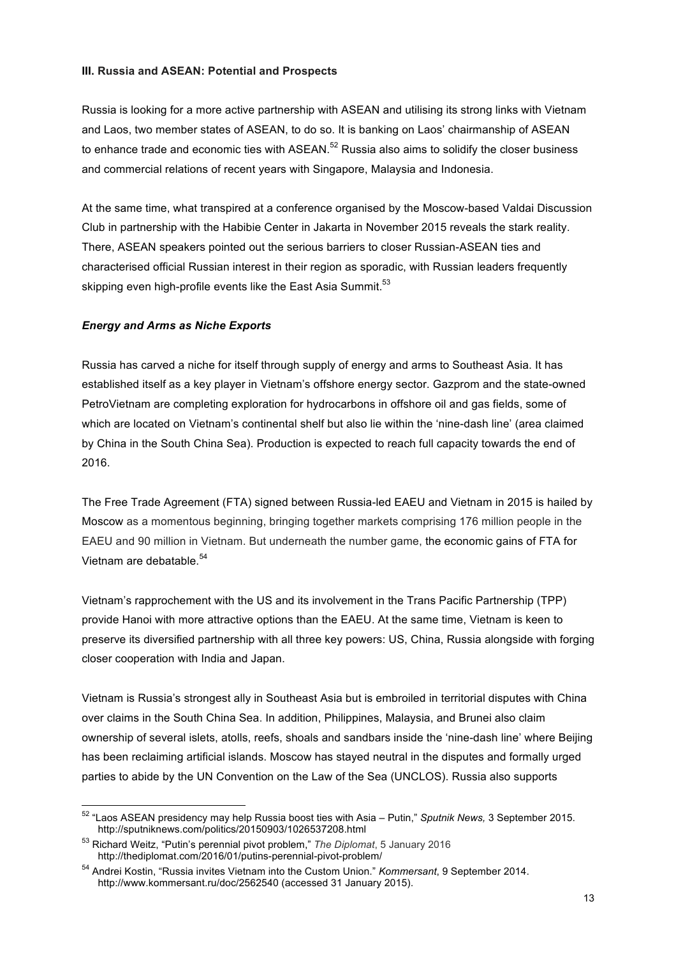#### **III. Russia and ASEAN: Potential and Prospects**

Russia is looking for a more active partnership with ASEAN and utilising its strong links with Vietnam and Laos, two member states of ASEAN, to do so. It is banking on Laos' chairmanship of ASEAN to enhance trade and economic ties with ASEAN.<sup>52</sup> Russia also aims to solidify the closer business and commercial relations of recent years with Singapore, Malaysia and Indonesia.

At the same time, what transpired at a conference organised by the Moscow-based Valdai Discussion Club in partnership with the Habibie Center in Jakarta in November 2015 reveals the stark reality. There, ASEAN speakers pointed out the serious barriers to closer Russian-ASEAN ties and characterised official Russian interest in their region as sporadic, with Russian leaders frequently skipping even high-profile events like the East Asia Summit.<sup>53</sup>

#### *Energy and Arms as Niche Exports*

Russia has carved a niche for itself through supply of energy and arms to Southeast Asia. It has established itself as a key player in Vietnam's offshore energy sector. Gazprom and the state-owned PetroVietnam are completing exploration for hydrocarbons in offshore oil and gas fields, some of which are located on Vietnam's continental shelf but also lie within the 'nine-dash line' (area claimed by China in the South China Sea). Production is expected to reach full capacity towards the end of 2016.

The Free Trade Agreement (FTA) signed between Russia-led EAEU and Vietnam in 2015 is hailed by Moscow as a momentous beginning, bringing together markets comprising 176 million people in the EAEU and 90 million in Vietnam. But underneath the number game, the economic gains of FTA for Vietnam are debatable.<sup>54</sup>

Vietnam's rapprochement with the US and its involvement in the Trans Pacific Partnership (TPP) provide Hanoi with more attractive options than the EAEU. At the same time, Vietnam is keen to preserve its diversified partnership with all three key powers: US, China, Russia alongside with forging closer cooperation with India and Japan.

Vietnam is Russia's strongest ally in Southeast Asia but is embroiled in territorial disputes with China over claims in the South China Sea. In addition, Philippines, Malaysia, and Brunei also claim ownership of several islets, atolls, reefs, shoals and sandbars inside the 'nine-dash line' where Beijing has been reclaiming artificial islands. Moscow has stayed neutral in the disputes and formally urged parties to abide by the UN Convention on the Law of the Sea (UNCLOS). Russia also supports

<sup>52</sup> "Laos ASEAN presidency may help Russia boost ties with Asia – Putin," *Sputnik News,* 3 September 2015. http://sputniknews.com/politics/20150903/1026537208.html

<sup>53</sup> Richard Weitz, "Putin's perennial pivot problem," *The Diplomat*, 5 January 2016 http://thediplomat.com/2016/01/putins-perennial-pivot-problem/

<sup>54</sup> Andrei Kostin, "Russia invites Vietnam into the Custom Union." *Kommersant*, 9 September 2014. http://www.kommersant.ru/doc/2562540 (accessed 31 January 2015).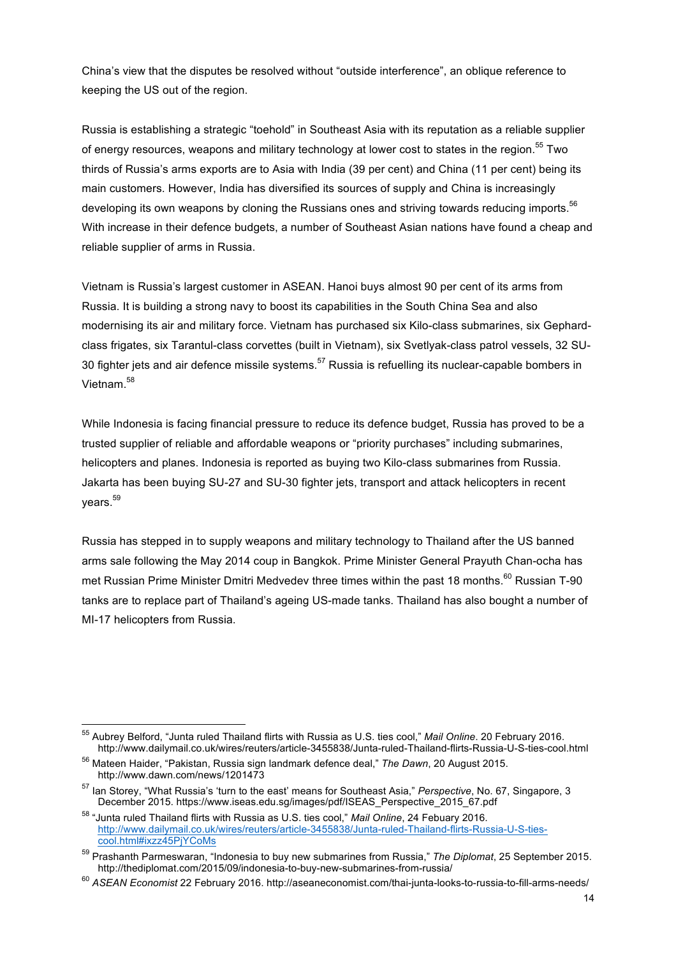China's view that the disputes be resolved without "outside interference", an oblique reference to keeping the US out of the region.

Russia is establishing a strategic "toehold" in Southeast Asia with its reputation as a reliable supplier of energy resources, weapons and military technology at lower cost to states in the region.<sup>55</sup> Two thirds of Russia's arms exports are to Asia with India (39 per cent) and China (11 per cent) being its main customers. However, India has diversified its sources of supply and China is increasingly developing its own weapons by cloning the Russians ones and striving towards reducing imports.<sup>56</sup> With increase in their defence budgets, a number of Southeast Asian nations have found a cheap and reliable supplier of arms in Russia.

Vietnam is Russia's largest customer in ASEAN. Hanoi buys almost 90 per cent of its arms from Russia. It is building a strong navy to boost its capabilities in the South China Sea and also modernising its air and military force. Vietnam has purchased six Kilo-class submarines, six Gephardclass frigates, six Tarantul-class corvettes (built in Vietnam), six Svetlyak-class patrol vessels, 32 SU-30 fighter jets and air defence missile systems.<sup>57</sup> Russia is refuelling its nuclear-capable bombers in Vietnam<sup>58</sup>

While Indonesia is facing financial pressure to reduce its defence budget, Russia has proved to be a trusted supplier of reliable and affordable weapons or "priority purchases" including submarines, helicopters and planes. Indonesia is reported as buying two Kilo-class submarines from Russia. Jakarta has been buying SU-27 and SU-30 fighter jets, transport and attack helicopters in recent years. 59

Russia has stepped in to supply weapons and military technology to Thailand after the US banned arms sale following the May 2014 coup in Bangkok. Prime Minister General Prayuth Chan-ocha has met Russian Prime Minister Dmitri Medvedev three times within the past 18 months.<sup>60</sup> Russian T-90 tanks are to replace part of Thailand's ageing US-made tanks. Thailand has also bought a number of MI-17 helicopters from Russia.

<sup>55</sup> Aubrey Belford, "Junta ruled Thailand flirts with Russia as U.S. ties cool," *Mail Online*. 20 February 2016. http://www.dailymail.co.uk/wires/reuters/article-3455838/Junta-ruled-Thailand-flirts-Russia-U-S-ties-cool.html

<sup>56</sup> Mateen Haider, "Pakistan, Russia sign landmark defence deal," *The Dawn*, 20 August 2015. http://www.dawn.com/news/1201473

<sup>57</sup> Ian Storey, "What Russia's 'turn to the east' means for Southeast Asia," *Perspective*, No. 67, Singapore, 3 December 2015. https://www.iseas.edu.sg/images/pdf/ISEAS\_Perspective\_2015\_67.pdf

<sup>58</sup> "Junta ruled Thailand flirts with Russia as U.S. ties cool," *Mail Online*, 24 Febuary 2016. http://www.dailymail.co.uk/wires/reuters/article-3455838/Junta-ruled-Thailand-flirts-Russia-U-S-tiescool.html#ixzz45PjYCoMs

<sup>59</sup> Prashanth Parmeswaran, "Indonesia to buy new submarines from Russia," *The Diplomat*, 25 September 2015. http://thediplomat.com/2015/09/indonesia-to-buy-new-submarines-from-russia/

<sup>60</sup> *ASEAN Economist* 22 February 2016. http://aseaneconomist.com/thai-junta-looks-to-russia-to-fill-arms-needs/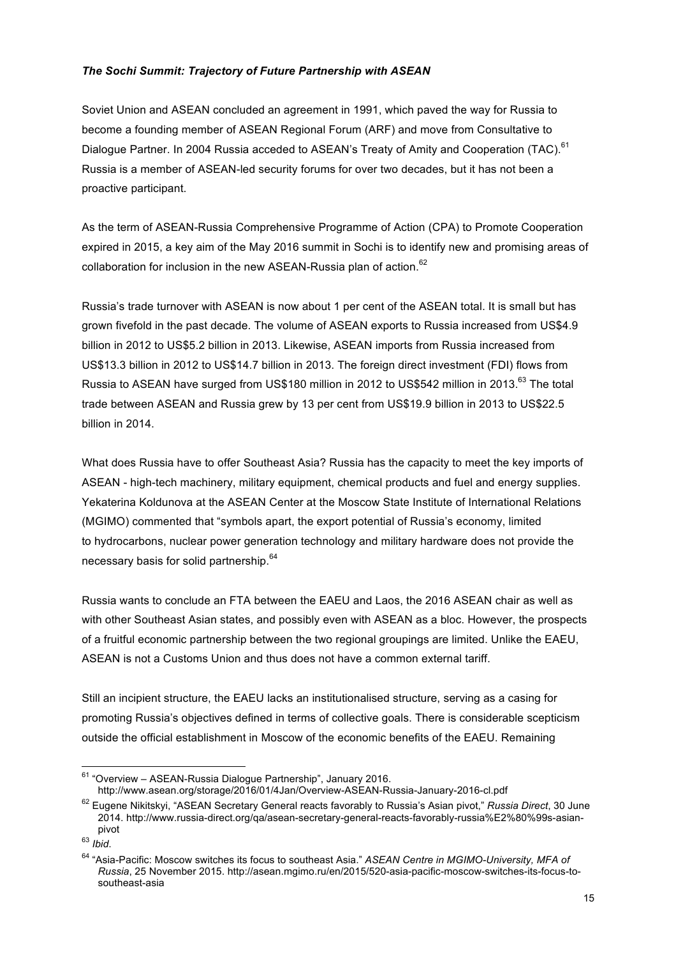## *The Sochi Summit: Trajectory of Future Partnership with ASEAN*

Soviet Union and ASEAN concluded an agreement in 1991, which paved the way for Russia to become a founding member of ASEAN Regional Forum (ARF) and move from Consultative to Dialogue Partner. In 2004 Russia acceded to ASEAN's Treaty of Amity and Cooperation (TAC).<sup>61</sup> Russia is a member of ASEAN-led security forums for over two decades, but it has not been a proactive participant.

As the term of ASEAN-Russia Comprehensive Programme of Action (CPA) to Promote Cooperation expired in 2015, a key aim of the May 2016 summit in Sochi is to identify new and promising areas of collaboration for inclusion in the new ASEAN-Russia plan of action.<sup>62</sup>

Russia's trade turnover with ASEAN is now about 1 per cent of the ASEAN total. It is small but has grown fivefold in the past decade. The volume of ASEAN exports to Russia increased from US\$4.9 billion in 2012 to US\$5.2 billion in 2013. Likewise, ASEAN imports from Russia increased from US\$13.3 billion in 2012 to US\$14.7 billion in 2013. The foreign direct investment (FDI) flows from Russia to ASEAN have surged from US\$180 million in 2012 to US\$542 million in 2013.<sup>63</sup> The total trade between ASEAN and Russia grew by 13 per cent from US\$19.9 billion in 2013 to US\$22.5 billion in 2014.

What does Russia have to offer Southeast Asia? Russia has the capacity to meet the key imports of ASEAN - high-tech machinery, military equipment, chemical products and fuel and energy supplies. Yekaterina Koldunova at the ASEAN Center at the Moscow State Institute of International Relations (MGIMO) commented that "symbols apart, the export potential of Russia's economy, limited to hydrocarbons, nuclear power generation technology and military hardware does not provide the necessary basis for solid partnership.<sup>64</sup>

Russia wants to conclude an FTA between the EAEU and Laos, the 2016 ASEAN chair as well as with other Southeast Asian states, and possibly even with ASEAN as a bloc. However, the prospects of a fruitful economic partnership between the two regional groupings are limited. Unlike the EAEU, ASEAN is not a Customs Union and thus does not have a common external tariff.

Still an incipient structure, the EAEU lacks an institutionalised structure, serving as a casing for promoting Russia's objectives defined in terms of collective goals. There is considerable scepticism outside the official establishment in Moscow of the economic benefits of the EAEU. Remaining

<sup>61</sup> "Overview – ASEAN-Russia Dialogue Partnership", January 2016. http://www.asean.org/storage/2016/01/4Jan/Overview-ASEAN-Russia-January-2016-cl.pdf

<sup>62</sup> Eugene Nikitskyi, "ASEAN Secretary General reacts favorably to Russia's Asian pivot," *Russia Direct*, 30 June 2014. http://www.russia-direct.org/qa/asean-secretary-general-reacts-favorably-russia%E2%80%99s-asianpivot

<sup>63</sup> *Ibid*.

<sup>64</sup> "Asia-Pacific: Moscow switches its focus to southeast Asia." *ASEAN Centre in MGIMO-University, MFA of Russia*, 25 November 2015. http://asean.mgimo.ru/en/2015/520-asia-pacific-moscow-switches-its-focus-tosoutheast-asia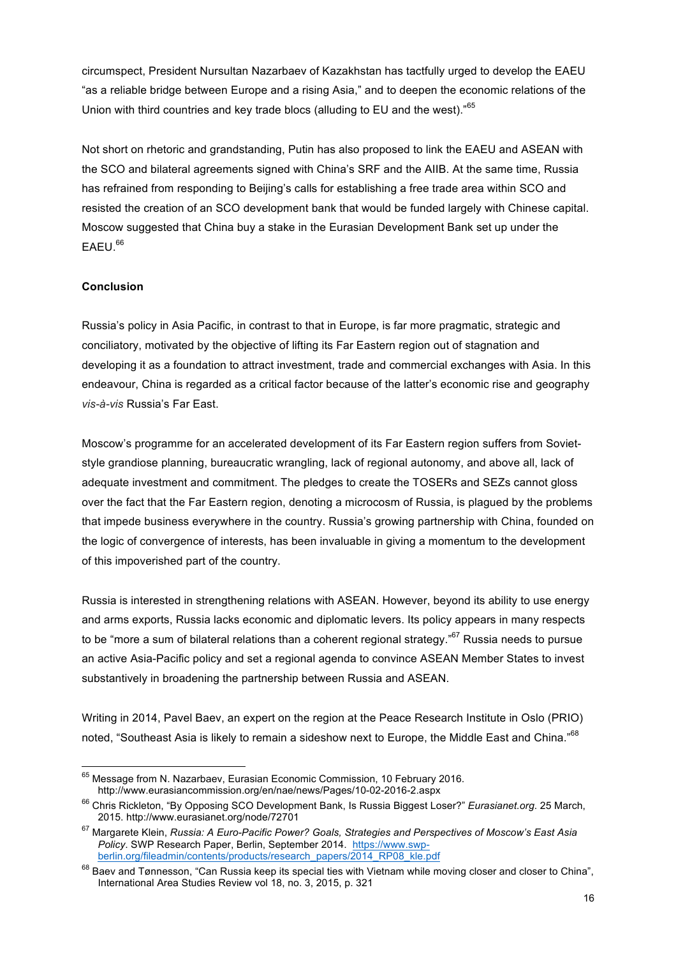circumspect, President Nursultan Nazarbaev of Kazakhstan has tactfully urged to develop the EAEU "as a reliable bridge between Europe and a rising Asia," and to deepen the economic relations of the Union with third countries and key trade blocs (alluding to EU and the west)."<sup>65</sup>

Not short on rhetoric and grandstanding, Putin has also proposed to link the EAEU and ASEAN with the SCO and bilateral agreements signed with China's SRF and the AIIB. At the same time, Russia has refrained from responding to Beijing's calls for establishing a free trade area within SCO and resisted the creation of an SCO development bank that would be funded largely with Chinese capital. Moscow suggested that China buy a stake in the Eurasian Development Bank set up under the  $FAFI<sup>66</sup>$ 

## **Conclusion**

Russia's policy in Asia Pacific, in contrast to that in Europe, is far more pragmatic, strategic and conciliatory, motivated by the objective of lifting its Far Eastern region out of stagnation and developing it as a foundation to attract investment, trade and commercial exchanges with Asia. In this endeavour, China is regarded as a critical factor because of the latter's economic rise and geography *vis-à-vis* Russia's Far East.

Moscow's programme for an accelerated development of its Far Eastern region suffers from Sovietstyle grandiose planning, bureaucratic wrangling, lack of regional autonomy, and above all, lack of adequate investment and commitment. The pledges to create the TOSERs and SEZs cannot gloss over the fact that the Far Eastern region, denoting a microcosm of Russia, is plagued by the problems that impede business everywhere in the country. Russia's growing partnership with China, founded on the logic of convergence of interests, has been invaluable in giving a momentum to the development of this impoverished part of the country.

Russia is interested in strengthening relations with ASEAN. However, beyond its ability to use energy and arms exports, Russia lacks economic and diplomatic levers. Its policy appears in many respects to be "more a sum of bilateral relations than a coherent regional strategy."<sup>67</sup> Russia needs to pursue an active Asia-Pacific policy and set a regional agenda to convince ASEAN Member States to invest substantively in broadening the partnership between Russia and ASEAN.

Writing in 2014, Pavel Baev, an expert on the region at the Peace Research Institute in Oslo (PRIO) noted, "Southeast Asia is likely to remain a sideshow next to Europe, the Middle East and China."<sup>68</sup>

<sup>&</sup>lt;sup>65</sup> Message from N. Nazarbaev, Eurasian Economic Commission, 10 February 2016. http://www.eurasiancommission.org/en/nae/news/Pages/10-02-2016-2.aspx

<sup>66</sup> Chris Rickleton, "By Opposing SCO Development Bank, Is Russia Biggest Loser?" *Eurasianet.org*. 25 March, 2015. http://www.eurasianet.org/node/72701

<sup>67</sup> Margarete Klein, *Russia: A Euro-Pacific Power? Goals, Strategies and Perspectives of Moscow's East Asia Policy*. SWP Research Paper, Berlin, September 2014. https://www.swpberlin.org/fileadmin/contents/products/research\_papers/2014\_RP08\_kle.pdf

<sup>68</sup> Baev and Tønnesson, "Can Russia keep its special ties with Vietnam while moving closer and closer to China", International Area Studies Review vol 18, no. 3, 2015, p. 321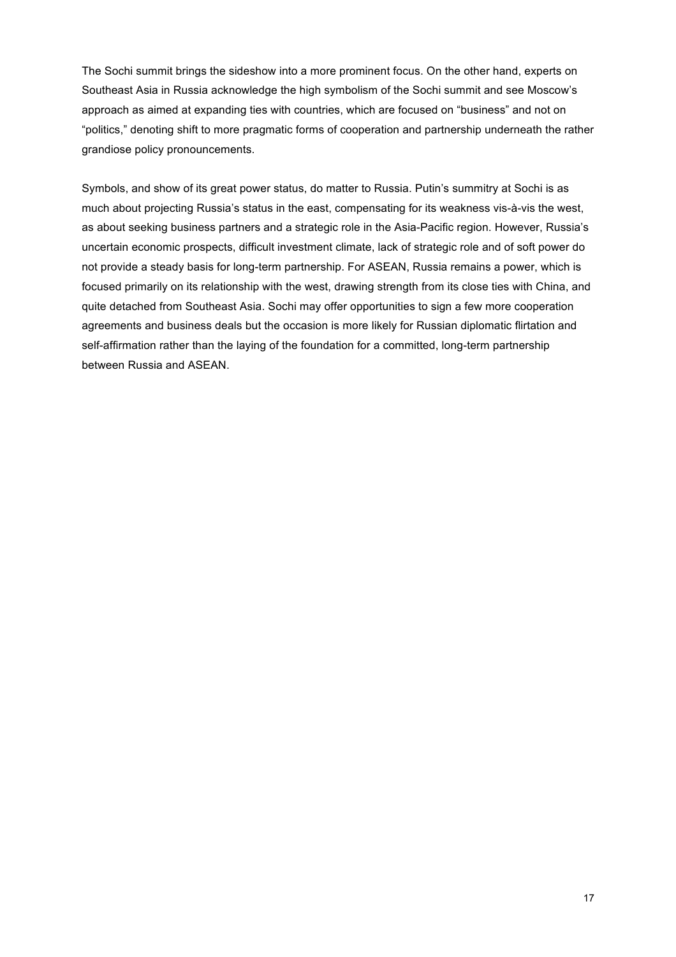The Sochi summit brings the sideshow into a more prominent focus. On the other hand, experts on Southeast Asia in Russia acknowledge the high symbolism of the Sochi summit and see Moscow's approach as aimed at expanding ties with countries, which are focused on "business" and not on "politics," denoting shift to more pragmatic forms of cooperation and partnership underneath the rather grandiose policy pronouncements.

Symbols, and show of its great power status, do matter to Russia. Putin's summitry at Sochi is as much about projecting Russia's status in the east, compensating for its weakness vis-à-vis the west, as about seeking business partners and a strategic role in the Asia-Pacific region. However, Russia's uncertain economic prospects, difficult investment climate, lack of strategic role and of soft power do not provide a steady basis for long-term partnership. For ASEAN, Russia remains a power, which is focused primarily on its relationship with the west, drawing strength from its close ties with China, and quite detached from Southeast Asia. Sochi may offer opportunities to sign a few more cooperation agreements and business deals but the occasion is more likely for Russian diplomatic flirtation and self-affirmation rather than the laying of the foundation for a committed, long-term partnership between Russia and ASEAN.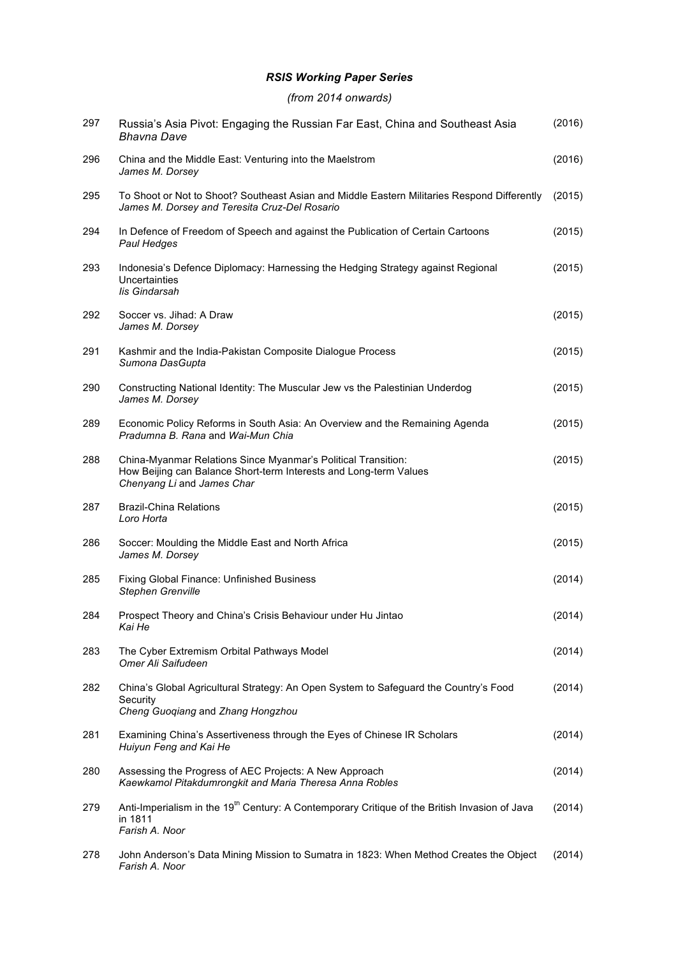## *RSIS Working Paper Series*

*(from 2014 onwards)*

| 297 | Russia's Asia Pivot: Engaging the Russian Far East, China and Southeast Asia<br><b>Bhavna Dave</b>                                                               | (2016) |
|-----|------------------------------------------------------------------------------------------------------------------------------------------------------------------|--------|
| 296 | China and the Middle East: Venturing into the Maelstrom<br>James M. Dorsey                                                                                       | (2016) |
| 295 | To Shoot or Not to Shoot? Southeast Asian and Middle Eastern Militaries Respond Differently<br>James M. Dorsey and Teresita Cruz-Del Rosario                     | (2015) |
| 294 | In Defence of Freedom of Speech and against the Publication of Certain Cartoons<br><b>Paul Hedges</b>                                                            | (2015) |
| 293 | Indonesia's Defence Diplomacy: Harnessing the Hedging Strategy against Regional<br>Uncertainties<br>lis Gindarsah                                                | (2015) |
| 292 | Soccer vs. Jihad: A Draw<br>James M. Dorsey                                                                                                                      | (2015) |
| 291 | Kashmir and the India-Pakistan Composite Dialogue Process<br>Sumona DasGupta                                                                                     | (2015) |
| 290 | Constructing National Identity: The Muscular Jew vs the Palestinian Underdog<br>James M. Dorsey                                                                  | (2015) |
| 289 | Economic Policy Reforms in South Asia: An Overview and the Remaining Agenda<br>Pradumna B. Rana and Wai-Mun Chia                                                 | (2015) |
| 288 | China-Myanmar Relations Since Myanmar's Political Transition:<br>How Beijing can Balance Short-term Interests and Long-term Values<br>Chenyang Li and James Char | (2015) |
| 287 | <b>Brazil-China Relations</b><br>Loro Horta                                                                                                                      | (2015) |
| 286 | Soccer: Moulding the Middle East and North Africa<br>James M. Dorsey                                                                                             | (2015) |
| 285 | <b>Fixing Global Finance: Unfinished Business</b><br>Stephen Grenville                                                                                           | (2014) |
| 284 | Prospect Theory and China's Crisis Behaviour under Hu Jintao<br>kai He                                                                                           | (2014) |
| 283 | The Cyber Extremism Orbital Pathways Model<br>Omer Ali Saifudeen                                                                                                 | (2014) |
| 282 | China's Global Agricultural Strategy: An Open System to Safeguard the Country's Food<br>Security<br>Cheng Guoqiang and Zhang Hongzhou                            | (2014) |
| 281 | Examining China's Assertiveness through the Eyes of Chinese IR Scholars<br>Huiyun Feng and Kai He                                                                | (2014) |
| 280 | Assessing the Progress of AEC Projects: A New Approach<br>Kaewkamol Pitakdumrongkit and Maria Theresa Anna Robles                                                | (2014) |
| 279 | Anti-Imperialism in the 19 <sup>th</sup> Century: A Contemporary Critique of the British Invasion of Java<br>in 1811<br>Farish A. Noor                           | (2014) |
| 278 | John Anderson's Data Mining Mission to Sumatra in 1823: When Method Creates the Object<br>Farish A. Noor                                                         | (2014) |